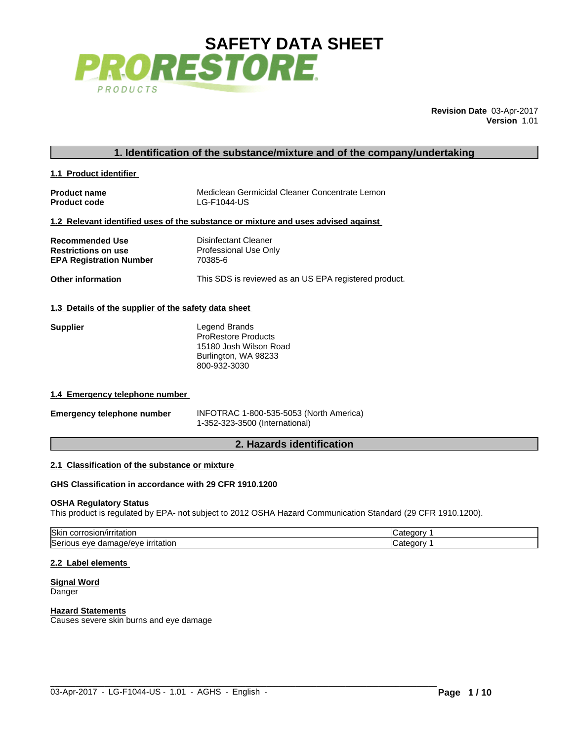

**Revision Date** 03-Apr-2017 **Version** 1.01

# **1. Identification of the substance/mixture and of the company/undertaking**

| 1.1 Product identifier |
|------------------------|
|------------------------|

| <b>Product name</b> | Mediclean Germicidal Cleaner Concentrate Lemon |
|---------------------|------------------------------------------------|
| <b>Product code</b> | LG-F1044-US                                    |

# **1.2 Relevant identified uses of the substance or mixture and uses advised against**

| <b>Recommended Use</b>         | Disinfectant Cleaner                                  |
|--------------------------------|-------------------------------------------------------|
| <b>Restrictions on use</b>     | Professional Use Only                                 |
| <b>EPA Registration Number</b> | 70385-6                                               |
| <b>Other information</b>       | This SDS is reviewed as an US EPA registered product. |

# **1.3 Details of the supplier of the safety data sheet**

| <b>Supplier</b> | Legend Brands              |
|-----------------|----------------------------|
|                 | <b>ProRestore Products</b> |
|                 | 15180 Josh Wilson Road     |
|                 | Burlington, WA 98233       |
|                 | 800-932-3030               |

#### **1.4 Emergency telephone number**

| <b>Emergency telephone number</b> | INFOTRAC 1-800-535-5053 (North America) |
|-----------------------------------|-----------------------------------------|
|                                   | 1-352-323-3500 (International)          |

# **2. Hazards identification**

# **2.1 Classification of the substance or mixture**

# **GHS Classification in accordance with 29 CFR 1910.1200**

#### **OSHA Regulatory Status**

This product is regulated by EPA- not subject to 2012 OSHA Hazard Communication Standard (29 CFR 1910.1200).

| <b>Skir</b><br>™ntoti∩r<br>ritatioi<br>'OSIOI<br>    | -4 H * |
|------------------------------------------------------|--------|
| <b>Seri</b><br><u>irritation</u><br>eve<br>ualliaue/ |        |

 $\_$  ,  $\_$  ,  $\_$  ,  $\_$  ,  $\_$  ,  $\_$  ,  $\_$  ,  $\_$  ,  $\_$  ,  $\_$  ,  $\_$  ,  $\_$  ,  $\_$  ,  $\_$  ,  $\_$  ,  $\_$  ,  $\_$  ,  $\_$  ,  $\_$  ,  $\_$  ,  $\_$  ,  $\_$  ,  $\_$  ,  $\_$  ,  $\_$  ,  $\_$  ,  $\_$  ,  $\_$  ,  $\_$  ,  $\_$  ,  $\_$  ,  $\_$  ,  $\_$  ,  $\_$  ,  $\_$  ,  $\_$  ,  $\_$  ,

#### **2.2 Label elements**

**Signal Word Danger** 

#### **Hazard Statements**

Causes severe skin burns and eye damage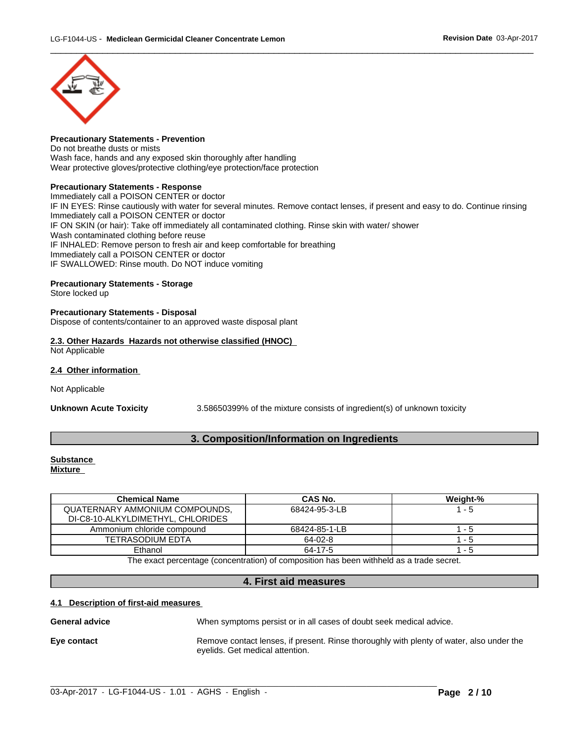

#### **Precautionary Statements - Prevention**

Do not breathe dusts or mists Wash face, hands and any exposed skin thoroughly after handling Wear protective gloves/protective clothing/eye protection/face protection

# **Precautionary Statements - Response**

Immediately call a POISON CENTER or doctor IF IN EYES: Rinse cautiously with water for several minutes. Remove contact lenses, if present and easy to do. Continue rinsing Immediately call a POISON CENTER or doctor IF ON SKIN (or hair): Take off immediately all contaminated clothing. Rinse skin with water/ shower Wash contaminated clothing before reuse IF INHALED: Remove person to fresh air and keep comfortable for breathing Immediately call a POISON CENTER or doctor IF SWALLOWED: Rinse mouth. Do NOT induce vomiting

# **Precautionary Statements - Storage**

Store locked up

## **Precautionary Statements - Disposal**

Dispose of contents/container to an approved waste disposal plant

## **2.3. Other Hazards Hazards not otherwise classified (HNOC)** Not Applicable

#### **2.4 Other information**

Not Applicable

**Unknown Acute Toxicity** 3.58650399% of the mixture consists of ingredient(s) of unknown toxicity

# **3. Composition/Information on Ingredients**

#### **Substance Mixture**

| <b>Chemical Name</b>              | CAS No.       | Weight-% |
|-----------------------------------|---------------|----------|
| QUATERNARY AMMONIUM COMPOUNDS.    | 68424-95-3-LB | - 5      |
| DI-C8-10-ALKYLDIMETHYL, CHLORIDES |               |          |
| Ammonium chloride compound        | 68424-85-1-LB | - 5      |
| TETRASODIUM EDTA                  | $64 - 02 - 8$ | - 5      |
| Ethanol                           | 64-17-5       | - 5      |

The exact percentage (concentration) of composition has been withheld as a trade secret.

# **4. First aid measures**

#### **4.1 Description of first-aid measures**

General **advice When symptoms persist or in all cases of doubt seek medical advice.** 

## **Eye contact Exercise 20 Remove contact lenses, if present. Rinse thoroughly with plenty of water, also under the** eyelids. Get medical attention.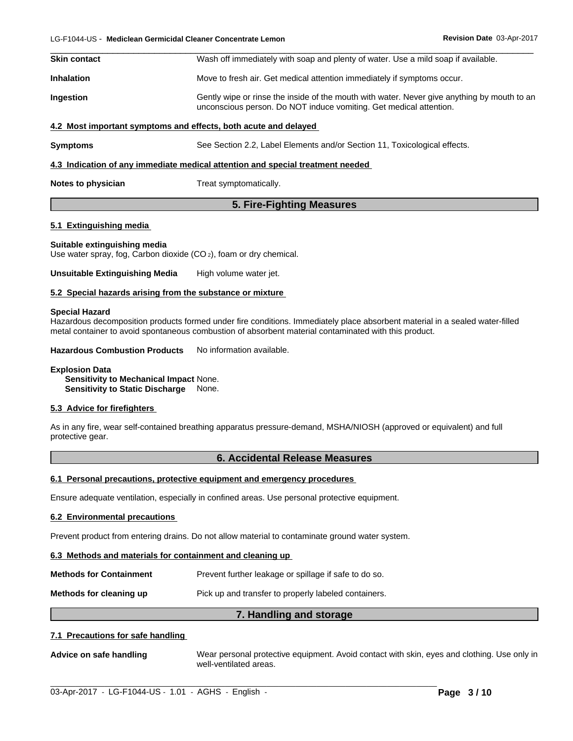| <b>Skin contact</b> | Wash off immediately with soap and plenty of water. Use a mild soap if available.                                                                                 |
|---------------------|-------------------------------------------------------------------------------------------------------------------------------------------------------------------|
| <b>Inhalation</b>   | Move to fresh air. Get medical attention immediately if symptoms occur.                                                                                           |
| <b>Ingestion</b>    | Gently wipe or rinse the inside of the mouth with water. Never give anything by mouth to an<br>unconscious person. Do NOT induce vomiting. Get medical attention. |
|                     | 4.2 Most important symptoms and effects, both acute and delayed                                                                                                   |
| <b>Symptoms</b>     | See Section 2.2, Label Elements and/or Section 11, Toxicological effects.                                                                                         |
|                     | 4.3 Indication of any immediate medical attention and special treatment needed                                                                                    |
| Notes to physician  | Treat symptomatically.                                                                                                                                            |

# **5. Fire-Fighting Measures**

# **5.1 Extinguishing media**

# **Suitable extinguishing media**

Use water spray, fog, Carbon dioxide (CO 2), foam or dry chemical.

**Unsuitable Extinguishing Media** High volume water jet.

# **5.2 Special hazards arising from the substance or mixture**

#### **Special Hazard**

Hazardous decomposition products formed under fire conditions. Immediately place absorbent material in a sealed water-filled metal container to avoid spontaneous combustion of absorbent material contaminated with this product.

**Hazardous Combustion Products** No information available.

#### **Explosion Data**

**Sensitivity to Mechanical Impact** None. **Sensitivity to Static Discharge** None.

# **5.3 Advice for firefighters**

As in any fire, wear self-contained breathing apparatus pressure-demand, MSHA/NIOSH (approved or equivalent) and full protective gear.

# **6. Accidental Release Measures**

# **6.1 Personal precautions, protective equipment and emergency procedures**

Ensure adequate ventilation, especially in confined areas. Use personal protective equipment.

# **6.2 Environmental precautions**

Prevent product from entering drains. Do not allow material to contaminate ground water system.

# **6.3 Methods and materials for containment and cleaning up**

| <b>Methods for Containment</b> | Prevent further leakage or spillage if safe to do so. |
|--------------------------------|-------------------------------------------------------|
| Methods for cleaning up        | Pick up and transfer to properly labeled containers.  |

# **7. Handling and storage**

# **7.1 Precautions for safe handling**

**Advice on safe handling** Wear personal protective equipment.Avoid contact with skin, eyes and clothing. Use only in well-ventilated areas.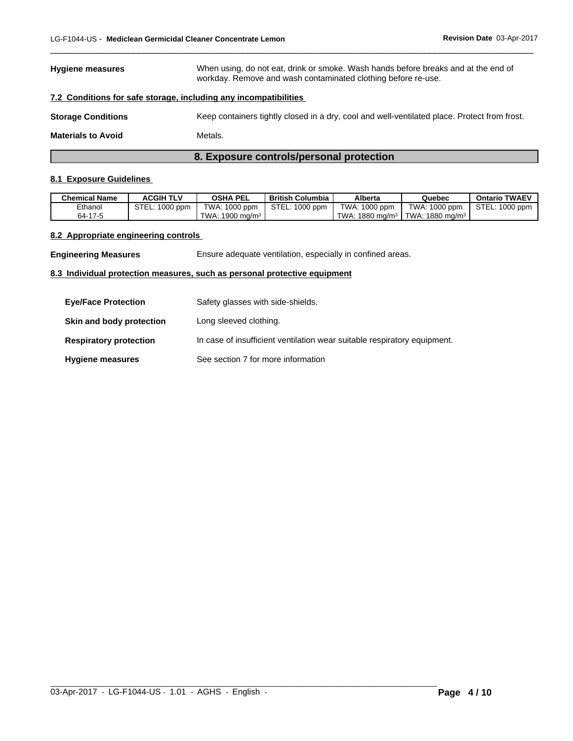# **Hygiene measures** When using, do not eat, drink or smoke. Wash hands before breaks and at the end of workday. Remove and wash contaminated clothing before re-use.

 $\overline{\phantom{a}}$  ,  $\overline{\phantom{a}}$  ,  $\overline{\phantom{a}}$  ,  $\overline{\phantom{a}}$  ,  $\overline{\phantom{a}}$  ,  $\overline{\phantom{a}}$  ,  $\overline{\phantom{a}}$  ,  $\overline{\phantom{a}}$  ,  $\overline{\phantom{a}}$  ,  $\overline{\phantom{a}}$  ,  $\overline{\phantom{a}}$  ,  $\overline{\phantom{a}}$  ,  $\overline{\phantom{a}}$  ,  $\overline{\phantom{a}}$  ,  $\overline{\phantom{a}}$  ,  $\overline{\phantom{a}}$ 

# **7.2 Conditions for safe storage, including any incompatibilities**

**Storage Conditions** Keep containers tightly closed in a dry, cool and well-ventilated place. Protect from frost.

**Materials to Avoid** Metals.

# **8. Exposure controls/personal protection**

# **8.1 Exposure Guidelines**

| <b>Chemical Name</b> | <b>ACGIH TLV</b> | <b>OSHA PEL</b>                        | <b>British Columbia</b> | Alberta                       | Quebec                           | <b>Ontario TWAEV</b> |
|----------------------|------------------|----------------------------------------|-------------------------|-------------------------------|----------------------------------|----------------------|
| Ethanol              | L: 1000 ppm      | TWA: 1000 ppm                          | STEL: 1000 ppm          | TWA: 1000 ppm                 | TWA: 1000 ppm                    | STEL: 1000 ppm       |
| 64-17-5              |                  | $\cdot$ 1900 ma/m <sup>3</sup><br>TWA: |                         | $1880 \text{ ma/m}^3$<br>TWA. | I TWA:<br>$\cdot$ 1880 ma/m $^3$ |                      |

# **8.2 Appropriate engineering controls**

**Engineering Measures** Ensure adequate ventilation, especially in confined areas.

## **8.3 Individual protection measures, such as personal protective equipment**

| <b>Eve/Face Protection</b>    | Safety glasses with side-shields.                                        |
|-------------------------------|--------------------------------------------------------------------------|
| Skin and body protection      | Long sleeved clothing.                                                   |
| <b>Respiratory protection</b> | In case of insufficient ventilation wear suitable respiratory equipment. |
| <b>Hygiene measures</b>       | See section 7 for more information                                       |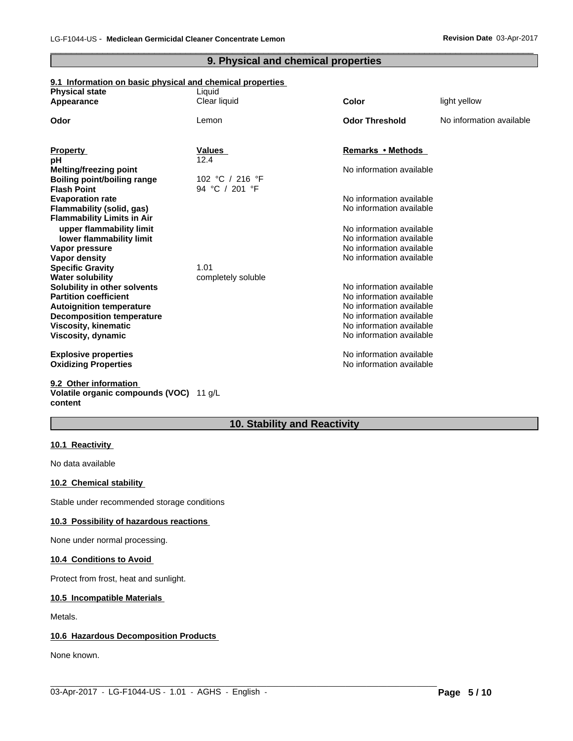# **9. Physical and chemical properties**

 $\overline{\phantom{a}}$  ,  $\overline{\phantom{a}}$  ,  $\overline{\phantom{a}}$  ,  $\overline{\phantom{a}}$  ,  $\overline{\phantom{a}}$  ,  $\overline{\phantom{a}}$  ,  $\overline{\phantom{a}}$  ,  $\overline{\phantom{a}}$  ,  $\overline{\phantom{a}}$  ,  $\overline{\phantom{a}}$  ,  $\overline{\phantom{a}}$  ,  $\overline{\phantom{a}}$  ,  $\overline{\phantom{a}}$  ,  $\overline{\phantom{a}}$  ,  $\overline{\phantom{a}}$  ,  $\overline{\phantom{a}}$ 

# **9.1 Information on basic physical and chemical properties**

| <b>Physical state</b>              | Liquid             |                          |                          |
|------------------------------------|--------------------|--------------------------|--------------------------|
| Appearance                         | Clear liquid       | Color                    | light yellow             |
| Odor                               | Lemon              | <b>Odor Threshold</b>    | No information available |
|                                    |                    |                          |                          |
| <b>Property</b>                    | <b>Values</b>      | Remarks • Methods        |                          |
| рH                                 | 12.4               |                          |                          |
| <b>Melting/freezing point</b>      |                    | No information available |                          |
| <b>Boiling point/boiling range</b> | 102 °C / 216 °F    |                          |                          |
| <b>Flash Point</b>                 | 94 °C / 201 °F     |                          |                          |
| <b>Evaporation rate</b>            |                    | No information available |                          |
| Flammability (solid, gas)          |                    | No information available |                          |
| <b>Flammability Limits in Air</b>  |                    |                          |                          |
| upper flammability limit           |                    | No information available |                          |
| lower flammability limit           |                    | No information available |                          |
| Vapor pressure                     |                    | No information available |                          |
| <b>Vapor density</b>               |                    | No information available |                          |
| <b>Specific Gravity</b>            | 1.01               |                          |                          |
| <b>Water solubility</b>            | completely soluble |                          |                          |
| Solubility in other solvents       |                    | No information available |                          |
| <b>Partition coefficient</b>       |                    | No information available |                          |
| <b>Autoignition temperature</b>    |                    | No information available |                          |
| <b>Decomposition temperature</b>   |                    | No information available |                          |
| Viscosity, kinematic               |                    | No information available |                          |
| Viscosity, dynamic                 |                    | No information available |                          |
| <b>Explosive properties</b>        |                    | No information available |                          |
| <b>Oxidizing Properties</b>        |                    | No information available |                          |
| 9.2 Other information              |                    |                          |                          |
|                                    |                    |                          |                          |

# **Volatile organic compounds (VOC)** 11 g/L **content**

# **10. Stability and Reactivity**

 $\_$  ,  $\_$  ,  $\_$  ,  $\_$  ,  $\_$  ,  $\_$  ,  $\_$  ,  $\_$  ,  $\_$  ,  $\_$  ,  $\_$  ,  $\_$  ,  $\_$  ,  $\_$  ,  $\_$  ,  $\_$  ,  $\_$  ,  $\_$  ,  $\_$  ,  $\_$  ,  $\_$  ,  $\_$  ,  $\_$  ,  $\_$  ,  $\_$  ,  $\_$  ,  $\_$  ,  $\_$  ,  $\_$  ,  $\_$  ,  $\_$  ,  $\_$  ,  $\_$  ,  $\_$  ,  $\_$  ,  $\_$  ,  $\_$  ,

# **10.1 Reactivity**

No data available

# **10.2 Chemical stability**

Stable under recommended storage conditions

# **10.3 Possibility of hazardous reactions**

None under normal processing.

### **10.4 Conditions to Avoid**

Protect from frost, heat and sunlight.

# **10.5 Incompatible Materials**

Metals.

# **10.6 Hazardous Decomposition Products**

None known.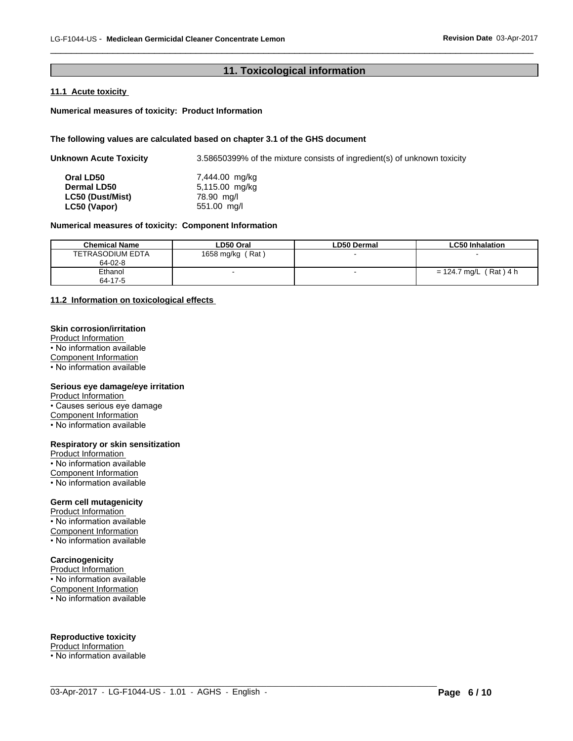# **11. Toxicological information**

 $\overline{\phantom{a}}$  ,  $\overline{\phantom{a}}$  ,  $\overline{\phantom{a}}$  ,  $\overline{\phantom{a}}$  ,  $\overline{\phantom{a}}$  ,  $\overline{\phantom{a}}$  ,  $\overline{\phantom{a}}$  ,  $\overline{\phantom{a}}$  ,  $\overline{\phantom{a}}$  ,  $\overline{\phantom{a}}$  ,  $\overline{\phantom{a}}$  ,  $\overline{\phantom{a}}$  ,  $\overline{\phantom{a}}$  ,  $\overline{\phantom{a}}$  ,  $\overline{\phantom{a}}$  ,  $\overline{\phantom{a}}$ 

# **11.1 Acute toxicity**

# **Numerical measures of toxicity: Product Information**

# **The following values are calculated based on chapter 3.1 of the GHS document**

| <b>Unknown Acute Toxicity</b> | 3.58650399% of the mixture consists of ingredient(s) of unknown toxicity |
|-------------------------------|--------------------------------------------------------------------------|
| Oral LD50                     | 7,444.00 mg/kg                                                           |
| <b>Dermal LD50</b>            | 5,115.00 mg/kg                                                           |
| LC50 (Dust/Mist)              | 78.90 mg/l                                                               |
| LC50 (Vapor)                  | 551.00 mg/l                                                              |

# **Numerical measures of toxicity: Component Information**

| <b>Chemical Name</b> | LD50 Oral<br>∟D50 Dermal |  | LC50 Inhalation               |
|----------------------|--------------------------|--|-------------------------------|
| TETRASODIUM EDTA     | Rat<br>1658 mg/kg        |  |                               |
| 64-02-8              |                          |  |                               |
| Ethanol              |                          |  | $(Rat)$ 4 h<br>$= 124.7$ mg/L |
| 64-17-5              |                          |  |                               |

 $\_$  ,  $\_$  ,  $\_$  ,  $\_$  ,  $\_$  ,  $\_$  ,  $\_$  ,  $\_$  ,  $\_$  ,  $\_$  ,  $\_$  ,  $\_$  ,  $\_$  ,  $\_$  ,  $\_$  ,  $\_$  ,  $\_$  ,  $\_$  ,  $\_$  ,  $\_$  ,  $\_$  ,  $\_$  ,  $\_$  ,  $\_$  ,  $\_$  ,  $\_$  ,  $\_$  ,  $\_$  ,  $\_$  ,  $\_$  ,  $\_$  ,  $\_$  ,  $\_$  ,  $\_$  ,  $\_$  ,  $\_$  ,  $\_$  ,

# **11.2 Information on toxicologicaleffects**

### **Skin corrosion/irritation**

Product Information • No information available Component Information

• No information available

# **Serious eye damage/eye irritation**

Product Information

• Causes serious eye damage

Component Information

• No information available

#### **Respiratory or skin sensitization**

Product Information • No information available Component Information • No information available

### **Germ cell mutagenicity**

Product Information • No information available Component Information • No information available

# **Carcinogenicity**

Product Information • No information available Component Information • No information available

# **Reproductive toxicity**

Product Information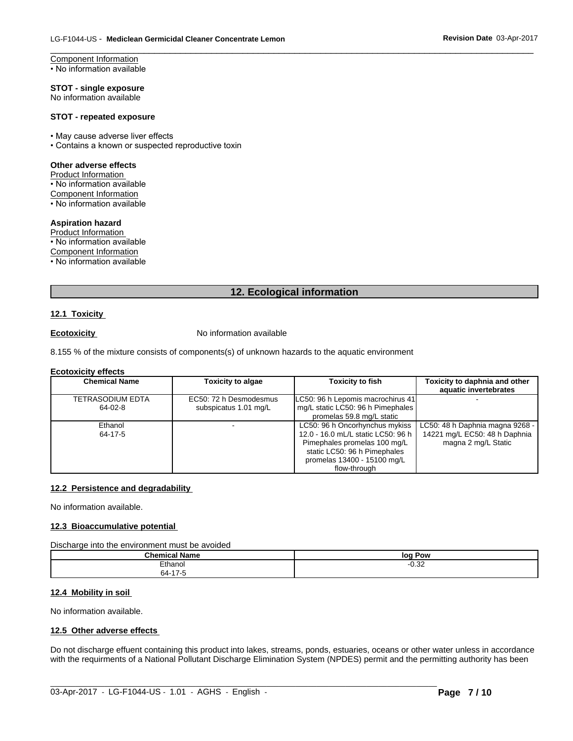Component Information • No information available

**STOT - single exposure** No information available

#### **STOT - repeated exposure**

- May cause adverse liver effects
- Contains a known or suspected reproductive toxin

#### **Other adverse effects**

Product Information • No information available Component Information • No information available

# **Aspiration hazard**

Product Information

• No information available Component Information

• No information available

# **12. Ecological information**

 $\overline{\phantom{a}}$  ,  $\overline{\phantom{a}}$  ,  $\overline{\phantom{a}}$  ,  $\overline{\phantom{a}}$  ,  $\overline{\phantom{a}}$  ,  $\overline{\phantom{a}}$  ,  $\overline{\phantom{a}}$  ,  $\overline{\phantom{a}}$  ,  $\overline{\phantom{a}}$  ,  $\overline{\phantom{a}}$  ,  $\overline{\phantom{a}}$  ,  $\overline{\phantom{a}}$  ,  $\overline{\phantom{a}}$  ,  $\overline{\phantom{a}}$  ,  $\overline{\phantom{a}}$  ,  $\overline{\phantom{a}}$ 

# **12.1 Toxicity**

**Ecotoxicity No information available** 

8.155 % of the mixture consists of components(s) of unknown hazards to the aquatic environment

#### **Ecotoxicity effects**

| <b>Chemical Name</b> | <b>Toxicity to algae</b> | <b>Toxicity to fish</b>            | Toxicity to daphnia and other   |
|----------------------|--------------------------|------------------------------------|---------------------------------|
|                      |                          |                                    | aquatic invertebrates           |
| TETRASODIUM EDTA     | EC50: 72 h Desmodesmus   | LC50: 96 h Lepomis macrochirus 41  |                                 |
| 64-02-8              | subspicatus 1.01 mg/L    | mg/L static LC50: 96 h Pimephales  |                                 |
|                      |                          | promelas 59.8 mg/L static          |                                 |
| Ethanol              |                          | LC50: 96 h Oncorhynchus mykiss     | LC50: 48 h Daphnia magna 9268 - |
| 64-17-5              |                          | 12.0 - 16.0 mL/L static LC50: 96 h | 14221 mg/L EC50: 48 h Daphnia   |
|                      |                          | Pimephales promelas 100 mg/L       | magna 2 mg/L Static             |
|                      |                          | static LC50: 96 h Pimephales       |                                 |
|                      |                          | promelas 13400 - 15100 mg/L        |                                 |
|                      |                          | flow-through                       |                                 |

#### **12.2 Persistence and degradability**

No information available.

# **12.3 Bioaccumulative potential**

Discharge into the environment must be avoided

| .<br>Chemical<br>∣ Name | log Pow       |
|-------------------------|---------------|
| <b>Tthanor</b>          | 0.22<br>∙∪.o∠ |
| $4 -$<br>64-1<br>- 11   |               |

# **12.4 Mobility in soil**

No information available.

# **12.5 Other adverse effects**

Do not discharge effuent containing this product into lakes, streams, ponds, estuaries, oceans or other water unless in accordance with the requirments of a National Pollutant Discharge Elimination System (NPDES) permit and the permitting authority has been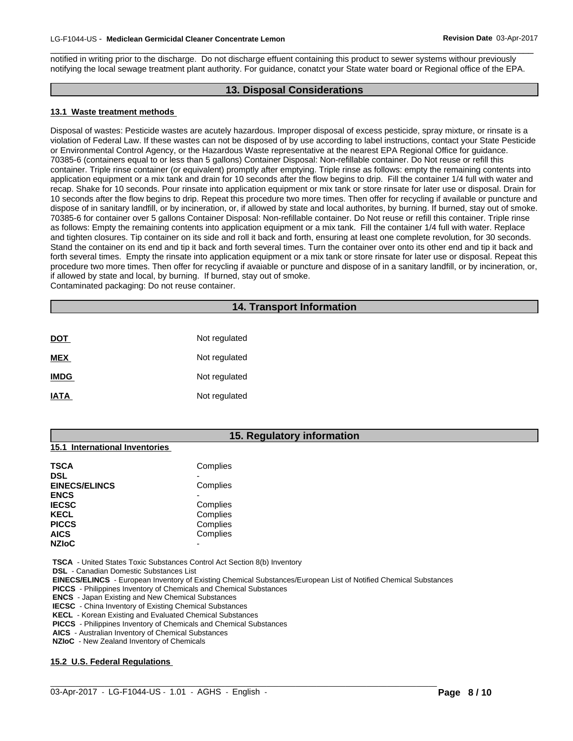notified in writing prior to the discharge. Do not discharge effuent containing this product to sewer systems withour previously notifying the local sewage treatment plant authority. For guidance, conatct your State water board or Regional office of the EPA.

# **13. Disposal Considerations**

 $\overline{\phantom{a}}$  ,  $\overline{\phantom{a}}$  ,  $\overline{\phantom{a}}$  ,  $\overline{\phantom{a}}$  ,  $\overline{\phantom{a}}$  ,  $\overline{\phantom{a}}$  ,  $\overline{\phantom{a}}$  ,  $\overline{\phantom{a}}$  ,  $\overline{\phantom{a}}$  ,  $\overline{\phantom{a}}$  ,  $\overline{\phantom{a}}$  ,  $\overline{\phantom{a}}$  ,  $\overline{\phantom{a}}$  ,  $\overline{\phantom{a}}$  ,  $\overline{\phantom{a}}$  ,  $\overline{\phantom{a}}$ 

# **13.1 Waste treatment methods**

Disposal of wastes: Pesticide wastes are acutely hazardous. Improper disposal of excess pesticide, spray mixture, or rinsate is a violation of Federal Law. If these wastes can not be disposed of by use according to label instructions, contact your State Pesticide or Environmental Control Agency, or the Hazardous Waste representative at the nearest EPA Regional Office for guidance. 70385-6 (containers equal to or less than 5 gallons) Container Disposal: Non-refillable container. Do Not reuse or refillthis container. Triple rinse container (or equivalent) promptly after emptying. Triple rinse as follows: empty the remaining contents into application equipment or a mix tank and drain for 10 seconds after the flow begins to drip. Fill the container 1/4 full with water and recap. Shake for 10 seconds. Pour rinsate into application equipment or mix tank or store rinsate for later use or disposal. Drain for 10 seconds after the flow begins to drip. Repeat this procedure two more times. Then offer for recycling if available or puncture and dispose of in sanitary landfill, or by incineration, or, if allowed by state and local authorites, by burning. If burned, stay out of smoke. 70385-6 for container over 5 gallons Container Disposal: Non-refillable container. Do Not reuse or refillthis container. Triple rinse as follows: Empty the remaining contents into application equipment or a mix tank. Fill the container 1/4 full with water. Replace and tighten closures. Tip container on its side and roll it back and forth, ensuring at least one complete revolution, for 30 seconds. Stand the container on its end and tip it back and forth several times. Turn the container over onto its other end and tip it back and forth several times. Empty the rinsate into application equipment or a mix tank or store rinsate for later use or disposal. Repeat this procedure two more times. Then offer for recycling if avaiable or puncture and dispose of in a sanitary landfill, or by incineration, or, if allowed by state and local, by burning. If burned, stay out of smoke. Contaminated packaging: Do not reuse container.

# **14. Transport Information**

| <b>DOT</b>  | Not regulated |
|-------------|---------------|
| <b>MEX</b>  | Not regulated |
| <b>IMDG</b> | Not regulated |
| <b>IATA</b> | Not regulated |

# **15. Regulatory information**

# **15.1 International Inventories**

| TSCA                 | Complies |  |
|----------------------|----------|--|
| DSL                  |          |  |
| <b>EINECS/ELINCS</b> | Complies |  |
| <b>ENCS</b>          |          |  |
| <b>IECSC</b>         | Complies |  |
| KECL                 | Complies |  |
| <b>PICCS</b>         | Complies |  |
| AICS                 | Complies |  |
| <b>NZIoC</b>         | -        |  |

 **TSCA** - United States Toxic Substances Control Act Section 8(b) Inventory

 **DSL** - Canadian Domestic Substances List

 **EINECS/ELINCS** - European Inventory of Existing Chemical Substances/European List of Notified Chemical Substances

 $\_$  ,  $\_$  ,  $\_$  ,  $\_$  ,  $\_$  ,  $\_$  ,  $\_$  ,  $\_$  ,  $\_$  ,  $\_$  ,  $\_$  ,  $\_$  ,  $\_$  ,  $\_$  ,  $\_$  ,  $\_$  ,  $\_$  ,  $\_$  ,  $\_$  ,  $\_$  ,  $\_$  ,  $\_$  ,  $\_$  ,  $\_$  ,  $\_$  ,  $\_$  ,  $\_$  ,  $\_$  ,  $\_$  ,  $\_$  ,  $\_$  ,  $\_$  ,  $\_$  ,  $\_$  ,  $\_$  ,  $\_$  ,  $\_$  ,

 **PICCS** - Philippines Inventory of Chemicals and Chemical Substances

 **ENCS** - Japan Existing and New Chemical Substances

 **IECSC** - China Inventory of Existing Chemical Substances

 **KECL** - Korean Existing and Evaluated Chemical Substances

 **PICCS** - Philippines Inventory of Chemicals and Chemical Substances

 **AICS** - Australian Inventory of Chemical Substances

 **NZIoC** - New Zealand Inventory of Chemicals

# **15.2 U.S. Federal Regulations**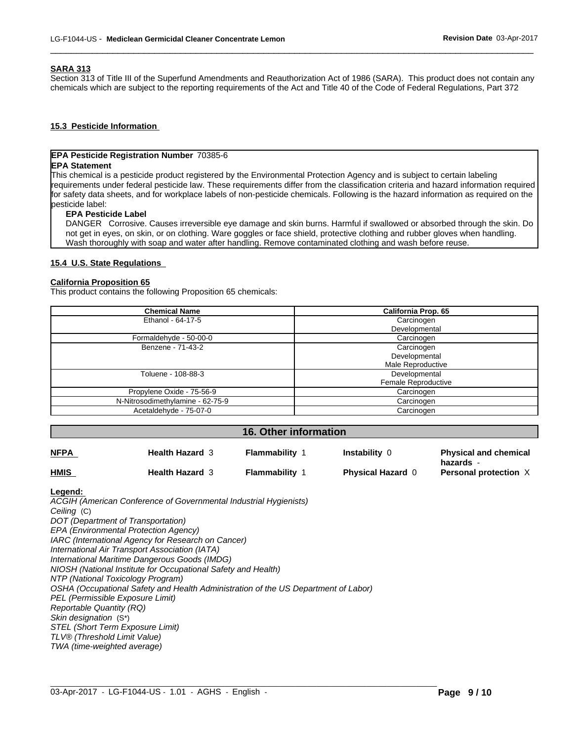# **SARA 313**

Section 313 of Title III of the Superfund Amendments and Reauthorization Act of 1986 (SARA). This product does not contain any chemicals which are subject to the reporting requirements of the Act and Title 40 of the Code of Federal Regulations, Part 372

 $\overline{\phantom{a}}$  ,  $\overline{\phantom{a}}$  ,  $\overline{\phantom{a}}$  ,  $\overline{\phantom{a}}$  ,  $\overline{\phantom{a}}$  ,  $\overline{\phantom{a}}$  ,  $\overline{\phantom{a}}$  ,  $\overline{\phantom{a}}$  ,  $\overline{\phantom{a}}$  ,  $\overline{\phantom{a}}$  ,  $\overline{\phantom{a}}$  ,  $\overline{\phantom{a}}$  ,  $\overline{\phantom{a}}$  ,  $\overline{\phantom{a}}$  ,  $\overline{\phantom{a}}$  ,  $\overline{\phantom{a}}$ 

# **15.3 Pesticide Information**

# **EPA Pesticide Registration Number** 70385-6

# **EPA Statement**

This chemical is a pesticide product registered by the Environmental Protection Agency and is subject to certain labeling requirements under federal pesticide law. These requirements differ from the classification criteria and hazard information required for safety data sheets, and for workplace labels of non-pesticide chemicals. Following is the hazard information as required on the pesticide label:

# **EPA Pesticide Label**

DANGER Corrosive. Causes irreversible eye damage and skin burns. Harmful if swallowed or absorbed through the skin. Do not get in eyes, on skin, or on clothing. Ware goggles or face shield, protective clothing and rubber gloves when handling. Wash thoroughly with soap and water after handling. Remove contaminated clothing and wash before reuse.

## **15.4 U.S. State Regulations**

# **California Proposition 65**

This product contains the following Proposition 65 chemicals:

| <b>California Prop. 65</b> |
|----------------------------|
| Carcinogen                 |
| Developmental              |
| Carcinogen                 |
| Carcinogen                 |
| Developmental              |
| Male Reproductive          |
| Developmental              |
| Female Reproductive        |
| Carcinogen                 |
| Carcinogen                 |
| Carcinogen                 |
|                            |

### **16. Other information**

| <b>NFPA</b> | <b>Health Hazard 3</b> | Flammability        | <b>Instability 0</b>     | <b>Physical and chemical</b><br>hazards - |
|-------------|------------------------|---------------------|--------------------------|-------------------------------------------|
| <b>HMIS</b> | <b>Health Hazard 3</b> | <b>Flammability</b> | <b>Physical Hazard 6</b> | Personal protection $X$                   |

 $\_$  ,  $\_$  ,  $\_$  ,  $\_$  ,  $\_$  ,  $\_$  ,  $\_$  ,  $\_$  ,  $\_$  ,  $\_$  ,  $\_$  ,  $\_$  ,  $\_$  ,  $\_$  ,  $\_$  ,  $\_$  ,  $\_$  ,  $\_$  ,  $\_$  ,  $\_$  ,  $\_$  ,  $\_$  ,  $\_$  ,  $\_$  ,  $\_$  ,  $\_$  ,  $\_$  ,  $\_$  ,  $\_$  ,  $\_$  ,  $\_$  ,  $\_$  ,  $\_$  ,  $\_$  ,  $\_$  ,  $\_$  ,  $\_$  ,

#### **Legend:**

*ACGIH (American Conference of Governmental Industrial Hygienists) Ceiling* (C) *DOT (Department of Transportation) EPA (Environmental Protection Agency) IARC (International Agency for Research on Cancer) International Air Transport Association (IATA) International Maritime Dangerous Goods (IMDG) NIOSH (National Institute for Occupational Safety and Health) NTP (National Toxicology Program) OSHA (Occupational Safety and Health Administration of the US Department of Labor) PEL (Permissible Exposure Limit) Reportable Quantity (RQ) Skin designation* (S\*) *STEL (Short Term Exposure Limit) TLV® (Threshold Limit Value) TWA (time-weighted average)*